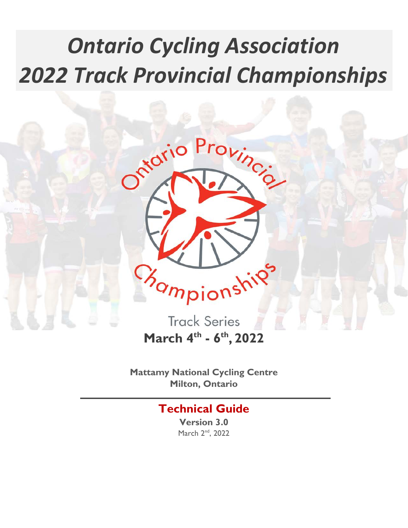# *Ontario Cycling Association 2022 Track Provincial Championships*



**March 4th - 6th, 2022**

**Mattamy National Cycling Centre Milton, Ontario**

## **Technical Guide**

**Version 3.0** March 2<sup>nd</sup>, 2022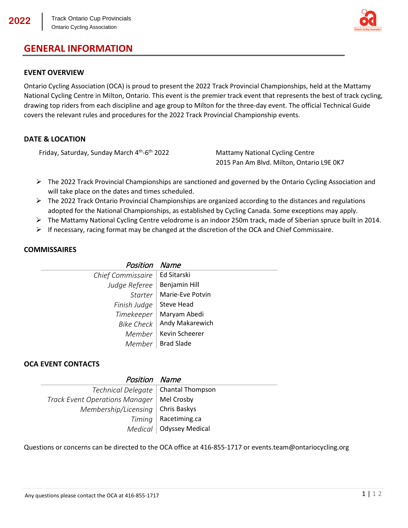## **GENERAL INFORMATION**



#### **EVENT OVERVIEW**

Ontario Cycling Association (OCA) is proud to present the 2022 Track Provincial Championships, held at the Mattamy National Cycling Centre in Milton, Ontario. This event is the premier track event that represents the best of track cycling, drawing top riders from each discipline and age group to Milton for the three-day event. The official Technical Guide covers the relevant rules and procedures for the 2022 Track Provincial Championship events.

#### **DATE & LOCATION**

Friday, Saturday, Sunday March  $4<sup>th</sup>$ -6<sup>th</sup> 2022 Mattamy National Cycling Centre

2015 Pan Am Blvd. Milton, Ontario L9E 0K7

- $\triangleright$  The 2022 Track Provincial Championships are sanctioned and governed by the Ontario Cycling Association and will take place on the dates and times scheduled.
- $\triangleright$  The 2022 Track Ontario Provincial Championships are organized according to the distances and regulations adopted for the National Championships, as established by Cycling Canada. Some exceptions may apply.
- The Mattamy National Cycling Centre velodrome is an indoor 250m track, made of Siberian spruce built in 2014.
- $\triangleright$  If necessary, racing format may be changed at the discretion of the OCA and Chief Commissaire.

#### **COMMISSAIRES**

| Position Name                   |                              |
|---------------------------------|------------------------------|
| Chief Commissaire   Ed Sitarski |                              |
| Judge Referee                   | Benjamin Hill                |
|                                 | Starter   Marie-Eve Potvin   |
| Finish Judge   Steve Head       |                              |
|                                 | Timekeeper   Maryam Abedi    |
|                                 | Bike Check   Andy Makarewich |
|                                 | Member   Kevin Scheerer      |
|                                 | Member   Brad Slade          |

#### **OCA EVENT CONTACTS**

| Position Name                         |                           |
|---------------------------------------|---------------------------|
| Technical Delegate   Chantal Thompson |                           |
| <b>Track Event Operations Manager</b> | Mel Crosby                |
| Membership/Licensing                  | Chris Baskys              |
| Timing                                | Racetiming.ca             |
|                                       | Medical   Odyssey Medical |

Questions or concerns can be directed to the OCA office at 416-855-1717 or events.team@ontariocycling.org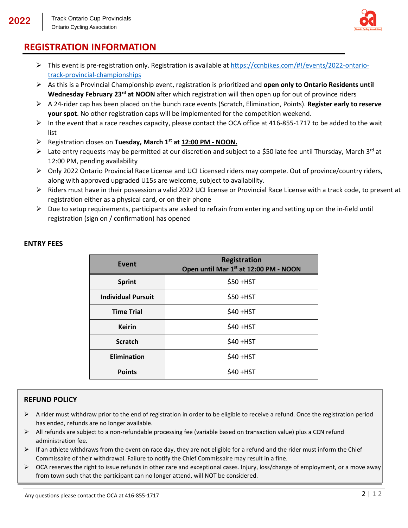

## **REGISTRATION INFORMATION**

- $\triangleright$  This event is pre-registration only. Registration is available at [https://ccnbikes.com/#!/events/2022-ontario](https://ccnbikes.com/#!/events/2022-ontario-track-provincial-championships)[track-provincial-championships](https://ccnbikes.com/#!/events/2022-ontario-track-provincial-championships)
- As this is a Provincial Championship event, registration is prioritized and **open only to Ontario Residents until Wednesday February 23rd at NOON** after which registration will then open up for out of province riders
- A 24-rider cap has been placed on the bunch race events (Scratch, Elimination, Points). **Register early to reserve your spot**. No other registration caps will be implemented for the competition weekend.
- $\triangleright$  In the event that a race reaches capacity, please contact the OCA office at 416-855-1717 to be added to the wait list
- Registration closes on **Tuesday, March 1st at 12:00 PM - NOON.**
- External and the entry requests may be permitted at our discretion and subject to a \$50 late fee until Thursday, March 3rd at 12:00 PM, pending availability
- Only 2022 Ontario Provincial Race License and UCI Licensed riders may compete. Out of province/country riders, along with approved upgraded U15s are welcome, subject to availability.
- $\triangleright$  Riders must have in their possession a valid 2022 UCI license or Provincial Race License with a track code, to present at registration either as a physical card, or on their phone
- $\triangleright$  Due to setup requirements, participants are asked to refrain from entering and setting up on the in-field until registration (sign on / confirmation) has opened

| Event                     | <b>Registration</b><br>Open until Mar 1st at 12:00 PM - NOON |
|---------------------------|--------------------------------------------------------------|
| <b>Sprint</b>             | \$50 + HST                                                   |
| <b>Individual Pursuit</b> | $$50+HST$                                                    |
| <b>Time Trial</b>         | \$40 + HST                                                   |
| <b>Keirin</b>             | \$40 + HST                                                   |
| <b>Scratch</b>            | \$40 + HST                                                   |
| <b>Elimination</b>        | $$40+HST$                                                    |
| <b>Points</b>             | \$40 + HST                                                   |

#### **ENTRY FEES**

#### **REFUND POLICY**

- $\triangleright$  A rider must withdraw prior to the end of registration in order to be eligible to receive a refund. Once the registration period has ended, refunds are no longer available.
- $\triangleright$  All refunds are subject to a non-refundable processing fee (variable based on transaction value) plus a CCN refund administration fee.
- $\triangleright$  If an athlete withdraws from the event on race day, they are not eligible for a refund and the rider must inform the Chief Commissaire of their withdrawal. Failure to notify the Chief Commissaire may result in a fine.
- $\triangleright$  OCA reserves the right to issue refunds in other rare and exceptional cases. Injury, loss/change of employment, or a move away from town such that the participant can no longer attend, will NOT be considered.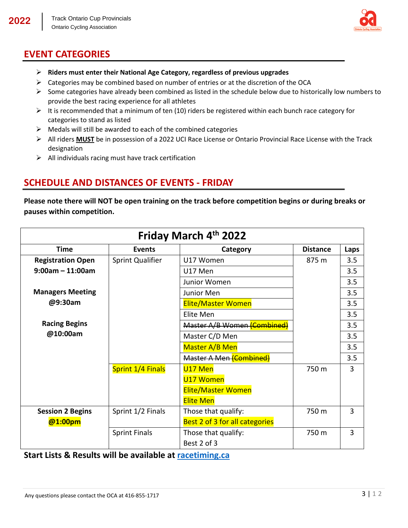

## **EVENT CATEGORIES**

- **Riders must enter their National Age Category, regardless of previous upgrades**
- $\triangleright$  Categories may be combined based on number of entries or at the discretion of the OCA
- $\triangleright$  Some categories have already been combined as listed in the schedule below due to historically low numbers to provide the best racing experience for all athletes
- $\triangleright$  It is recommended that a minimum of ten (10) riders be registered within each bunch race category for categories to stand as listed
- $\triangleright$  Medals will still be awarded to each of the combined categories
- All riders **MUST** be in possession of a 2022 UCI Race License or Ontario Provincial Race License with the Track designation
- $\triangleright$  All individuals racing must have track certification

#### **SCHEDULE AND DISTANCES OF EVENTS - FRIDAY**

**Please note there will NOT be open training on the track before competition begins or during breaks or pauses within competition.**

| Friday March 4th 2022    |                         |                                |                 |      |
|--------------------------|-------------------------|--------------------------------|-----------------|------|
| <b>Time</b>              | <b>Events</b>           | Category                       | <b>Distance</b> | Laps |
| <b>Registration Open</b> | <b>Sprint Qualifier</b> | U17 Women                      | 875 m           | 3.5  |
| $9:00$ am - 11:00am      |                         | U17 Men                        |                 | 3.5  |
|                          |                         | Junior Women                   |                 | 3.5  |
| <b>Managers Meeting</b>  |                         | Junior Men                     |                 | 3.5  |
| @9:30am                  |                         | <b>Elite/Master Women</b>      |                 | 3.5  |
|                          |                         | Elite Men                      |                 | 3.5  |
| <b>Racing Begins</b>     |                         | Master A/B Women (Combined)    |                 | 3.5  |
| @10:00am                 |                         | Master C/D Men                 |                 | 3.5  |
|                          |                         | Master A/B Men                 |                 | 3.5  |
|                          |                         | <b>Master A Men (Combined)</b> |                 | 3.5  |
|                          | Sprint 1/4 Finals       | U <sub>17</sub> Men            | 750 m           | 3    |
|                          |                         | U17 Women                      |                 |      |
|                          |                         | <b>Elite/Master Women</b>      |                 |      |
|                          |                         | <b>Elite Men</b>               |                 |      |
| <b>Session 2 Begins</b>  | Sprint 1/2 Finals       | Those that qualify:            | 750 m           | 3    |
| @1:00pm                  |                         | Best 2 of 3 for all categories |                 |      |
|                          | <b>Sprint Finals</b>    | Those that qualify:            | 750 m           | 3    |
|                          |                         | Best 2 of 3                    |                 |      |

**Start Lists & Results will be available at racetiming.ca**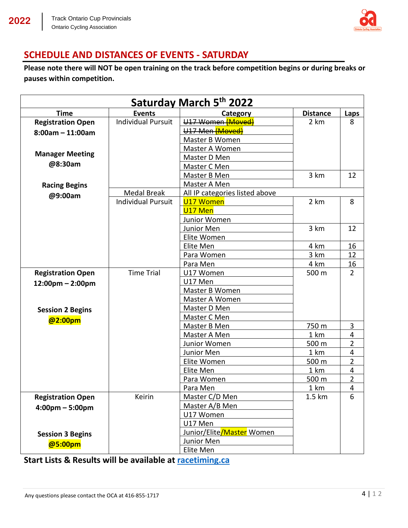

#### **SCHEDULE AND DISTANCES OF EVENTS - SATURDAY**

**Please note there will NOT be open training on the track before competition begins or during breaks or pauses within competition.**

| Saturday March 5th 2022            |                           |                                |                 |                |
|------------------------------------|---------------------------|--------------------------------|-----------------|----------------|
| <b>Time</b>                        | <b>Events</b>             | Category                       | <b>Distance</b> | Laps           |
| <b>Registration Open</b>           | <b>Individual Pursuit</b> | U17 Women (Moved)              | 2 km            | 8              |
| $8:00am - 11:00am$                 |                           | U17 Men (Moved)                |                 |                |
|                                    |                           | Master B Women                 |                 |                |
|                                    |                           | Master A Women                 |                 |                |
| <b>Manager Meeting</b>             |                           | Master D Men                   |                 |                |
| @8:30am                            |                           | Master C Men                   |                 |                |
|                                    |                           | Master B Men                   | 3 km            | 12             |
| <b>Racing Begins</b>               |                           | Master A Men                   |                 |                |
| @9:00am                            | Medal Break               | All IP categories listed above |                 |                |
|                                    | <b>Individual Pursuit</b> | U17 Women                      | 2 km            | 8              |
|                                    |                           | U17 Men                        |                 |                |
|                                    |                           | Junior Women                   |                 |                |
|                                    |                           | Junior Men                     | 3 km            | 12             |
|                                    |                           | Elite Women                    |                 |                |
|                                    |                           | Elite Men                      | 4 km            | 16             |
|                                    |                           | Para Women                     | 3 km            | 12             |
|                                    |                           | Para Men                       | 4 km            | 16             |
| <b>Registration Open</b>           | <b>Time Trial</b>         | U17 Women                      | 500 m           | $\overline{2}$ |
| $12:00 \text{pm} - 2:00 \text{pm}$ |                           | U17 Men                        |                 |                |
|                                    |                           | Master B Women                 |                 |                |
|                                    |                           | Master A Women                 |                 |                |
| <b>Session 2 Begins</b>            |                           | Master D Men                   |                 |                |
| @2:00pm                            |                           | Master C Men                   |                 |                |
|                                    |                           | Master B Men                   | 750 m           | 3              |
|                                    |                           | Master A Men                   | 1 km            | 4              |
|                                    |                           | Junior Women                   | 500 m           | $\overline{2}$ |
|                                    |                           | Junior Men                     | 1 km            | 4              |
|                                    |                           | Elite Women                    | 500 m           | $\overline{2}$ |
|                                    |                           | Elite Men                      | 1 km            | 4              |
|                                    |                           | Para Women                     | 500 m           | $\overline{2}$ |
|                                    |                           | Para Men                       | 1 km            | 4              |
| <b>Registration Open</b>           | Keirin                    | Master C/D Men                 | 1.5 km          | 6              |
| $4:00 \text{pm} - 5:00 \text{pm}$  |                           | Master A/B Men                 |                 |                |
|                                    |                           | U17 Women                      |                 |                |
|                                    |                           | U17 Men                        |                 |                |
| <b>Session 3 Begins</b>            |                           | Junior/Elite/Master Women      |                 |                |
| @5:00pm                            |                           | Junior Men                     |                 |                |
|                                    |                           | Elite Men                      |                 |                |

**Start Lists & Results will be available at racetiming.ca**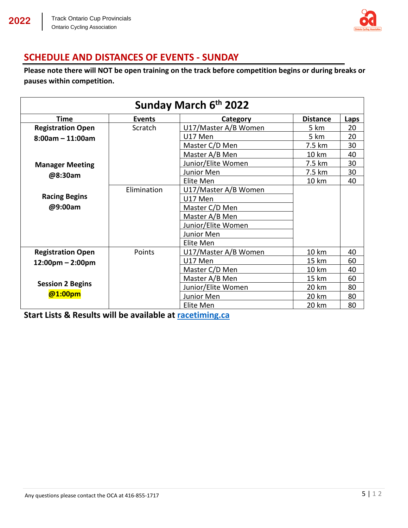

## **SCHEDULE AND DISTANCES OF EVENTS - SUNDAY**

**Please note there will NOT be open training on the track before competition begins or during breaks or pauses within competition.**

| Sunday March 6th 2022              |               |                      |                 |      |
|------------------------------------|---------------|----------------------|-----------------|------|
| <b>Time</b>                        | <b>Events</b> | Category             | <b>Distance</b> | Laps |
| <b>Registration Open</b>           | Scratch       | U17/Master A/B Women | 5 km            | 20   |
| $8:00am - 11:00am$                 |               | U17 Men              | 5 km            | 20   |
|                                    |               | Master C/D Men       | 7.5 km          | 30   |
|                                    |               | Master A/B Men       | 10 km           | 40   |
| <b>Manager Meeting</b>             |               | Junior/Elite Women   | 7.5 km          | 30   |
| @8:30am                            |               | Junior Men           | 7.5 km          | 30   |
|                                    |               | Elite Men            | 10 km           | 40   |
|                                    | Elimination   | U17/Master A/B Women |                 |      |
| <b>Racing Begins</b>               |               | U17 Men              |                 |      |
| @9:00am                            |               | Master C/D Men       |                 |      |
|                                    |               | Master A/B Men       |                 |      |
|                                    |               | Junior/Elite Women   |                 |      |
|                                    |               | Junior Men           |                 |      |
|                                    |               | Elite Men            |                 |      |
| <b>Registration Open</b>           | Points        | U17/Master A/B Women | 10 km           | 40   |
| $12:00 \text{pm} - 2:00 \text{pm}$ |               | U17 Men              | 15 km           | 60   |
|                                    |               | Master C/D Men       | 10 km           | 40   |
|                                    |               | Master A/B Men       | 15 km           | 60   |
| <b>Session 2 Begins</b>            |               | Junior/Elite Women   | 20 km           | 80   |
| @1:00pm                            |               | Junior Men           | 20 km           | 80   |
|                                    |               | Elite Men            | 20 km           | 80   |

**Start Lists & Results will be available at racetiming.ca**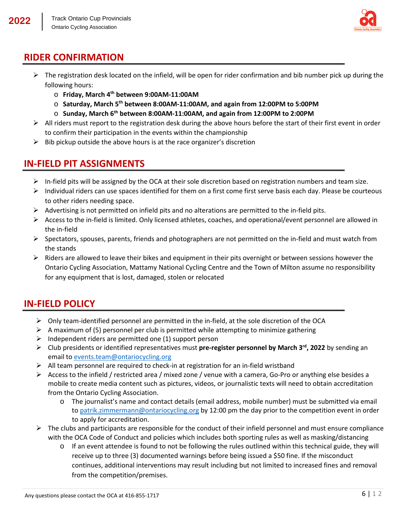

## **RIDER CONFIRMATION**

- $\triangleright$  The registration desk located on the infield, will be open for rider confirmation and bib number pick up during the following hours:
	- o **Friday, March 4th between 9:00AM-11:00AM**
	- o **Saturday, March 5th between 8:00AM-11:00AM, and again from 12:00PM to 5:00PM**
	- o **Sunday, March 6th between 8:00AM-11:00AM, and again from 12:00PM to 2:00PM**
- $\triangleright$  All riders must report to the registration desk during the above hours before the start of their first event in order to confirm their participation in the events within the championship
- $\triangleright$  Bib pickup outside the above hours is at the race organizer's discretion

## **IN-FIELD PIT ASSIGNMENTS**

- $\triangleright$  In-field pits will be assigned by the OCA at their sole discretion based on registration numbers and team size.
- $\triangleright$  Individual riders can use spaces identified for them on a first come first serve basis each day. Please be courteous to other riders needing space.
- $\triangleright$  Advertising is not permitted on infield pits and no alterations are permitted to the in-field pits.
- $\triangleright$  Access to the in-field is limited. Only licensed athletes, coaches, and operational/event personnel are allowed in the in-field
- $\triangleright$  Spectators, spouses, parents, friends and photographers are not permitted on the in-field and must watch from the stands
- $\triangleright$  Riders are allowed to leave their bikes and equipment in their pits overnight or between sessions however the Ontario Cycling Association, Mattamy National Cycling Centre and the Town of Milton assume no responsibility for any equipment that is lost, damaged, stolen or relocated

#### **IN-FIELD POLICY**

- $\triangleright$  Only team-identified personnel are permitted in the in-field, at the sole discretion of the OCA
- $\triangleright$  A maximum of (5) personnel per club is permitted while attempting to minimize gathering
- $\triangleright$  Independent riders are permitted one (1) support person
- $\triangleright$  Club presidents or identified representatives must **pre-register personnel by March 3<sup>rd</sup>, 2022** by sending an email to [events.team@ontariocycling.org](mailto:events.team@ontariocycling.org)
- $\triangleright$  All team personnel are required to check-in at registration for an in-field wristband
- $\triangleright$  Access to the infield / restricted area / mixed zone / venue with a camera, Go-Pro or anything else besides a mobile to create media content such as pictures, videos, or journalistic texts will need to obtain accreditation from the Ontario Cycling Association.
	- o The journalist's name and contact details (email address, mobile number) must be submitted via email to [patrik.zimmermann@ontariocycling.org](mailto:patrik.zimmermann@ontariocycling.org) by 12:00 pm the day prior to the competition event in order to apply for accreditation.
- $\triangleright$  The clubs and participants are responsible for the conduct of their infield personnel and must ensure compliance with the OCA Code of Conduct and policies which includes both sporting rules as well as masking/distancing
	- $\circ$  If an event attendee is found to not be following the rules outlined within this technical guide, they will receive up to three (3) documented warnings before being issued a \$50 fine. If the misconduct continues, additional interventions may result including but not limited to increased fines and removal from the competition/premises.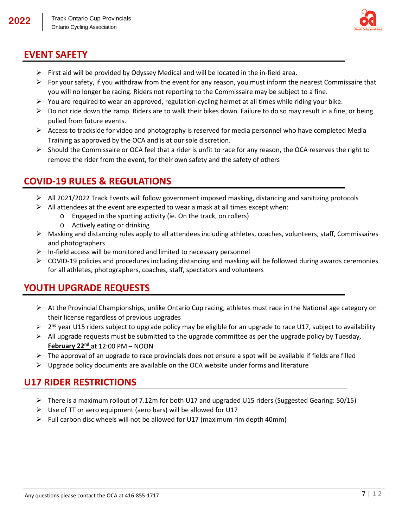

#### **EVENT SAFETY**

- $\triangleright$  First aid will be provided by Odyssey Medical and will be located in the in-field area.
- For your safety, if you withdraw from the event for any reason, you must inform the nearest Commissaire that you will no longer be racing. Riders not reporting to the Commissaire may be subject to a fine.
- $\triangleright$  You are required to wear an approved, regulation-cycling helmet at all times while riding your bike.
- $\triangleright$  Do not ride down the ramp. Riders are to walk their bikes down. Failure to do so may result in a fine, or being pulled from future events.
- $\triangleright$  Access to trackside for video and photography is reserved for media personnel who have completed Media Training as approved by the OCA and is at our sole discretion.
- $\triangleright$  Should the Commissaire or OCA feel that a rider is unfit to race for any reason, the OCA reserves the right to remove the rider from the event, for their own safety and the safety of others

#### **COVID-19 RULES & REGULATIONS**

- $\triangleright$  All 2021/2022 Track Events will follow government imposed masking, distancing and sanitizing protocols
- $\triangleright$  All attendees at the event are expected to wear a mask at all times except when:
	- o Engaged in the sporting activity (ie. On the track, on rollers)
	- o Actively eating or drinking
- $\triangleright$  Masking and distancing rules apply to all attendees including athletes, coaches, volunteers, staff, Commissaires and photographers
- $\triangleright$  In-field access will be monitored and limited to necessary personnel
- $\triangleright$  COVID-19 policies and procedures including distancing and masking will be followed during awards ceremonies for all athletes, photographers, coaches, staff, spectators and volunteers

## **YOUTH UPGRADE REQUESTS**

- $\triangleright$  At the Provincial Championships, unlike Ontario Cup racing, athletes must race in the National age category on their license regardless of previous upgrades
- $\geq 2^{nd}$  year U15 riders subject to upgrade policy may be eligible for an upgrade to race U17, subject to availability
- $\triangleright$  All upgrade requests must be submitted to the upgrade committee as per the upgrade policy by Tuesday, **February 22nd** at 12:00 PM – NOON
- $\triangleright$  The approval of an upgrade to race provincials does not ensure a spot will be available if fields are filled
- $\triangleright$  Upgrade policy documents are available on the OCA website under forms and literature

#### **U17 RIDER RESTRICTIONS**

- $\triangleright$  There is a maximum rollout of 7.12m for both U17 and upgraded U15 riders (Suggested Gearing: 50/15)
- $\triangleright$  Use of TT or aero equipment (aero bars) will be allowed for U17
- $\triangleright$  Full carbon disc wheels will not be allowed for U17 (maximum rim depth 40mm)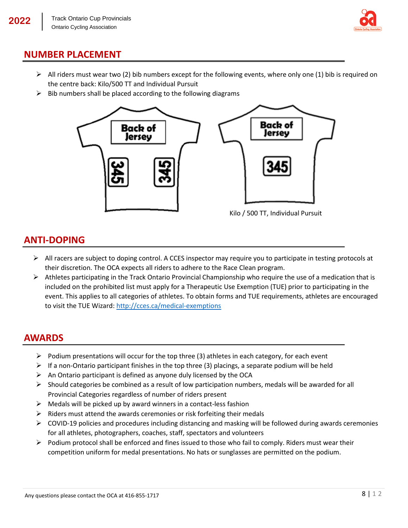

#### **NUMBER PLACEMENT**

- $\triangleright$  All riders must wear two (2) bib numbers except for the following events, where only one (1) bib is required on the centre back: Kilo/500 TT and Individual Pursuit
- $\triangleright$  Bib numbers shall be placed according to the following diagrams



#### **ANTI-DOPING**

- $\triangleright$  All racers are subject to doping control. A CCES inspector may require you to participate in testing protocols at their discretion. The OCA expects all riders to adhere to the Race Clean program.
- $\triangleright$  Athletes participating in the Track Ontario Provincial Championship who require the use of a medication that is included on the prohibited list must apply for a Therapeutic Use Exemption (TUE) prior to participating in the event. This applies to all categories of athletes. To obtain forms and TUE requirements, athletes are encouraged to visit the TUE Wizard[: http://cces.ca/medical-exemptions](http://cces.ca/medical-exemptions)

#### **AWARDS**

- $\triangleright$  Podium presentations will occur for the top three (3) athletes in each category, for each event
- $\triangleright$  If a non-Ontario participant finishes in the top three (3) placings, a separate podium will be held
- $\triangleright$  An Ontario participant is defined as anyone duly licensed by the OCA
- $\triangleright$  Should categories be combined as a result of low participation numbers, medals will be awarded for all Provincial Categories regardless of number of riders present
- $\triangleright$  Medals will be picked up by award winners in a contact-less fashion
- $\triangleright$  Riders must attend the awards ceremonies or risk forfeiting their medals
- $\triangleright$  COVID-19 policies and procedures including distancing and masking will be followed during awards ceremonies for all athletes, photographers, coaches, staff, spectators and volunteers
- $\triangleright$  Podium protocol shall be enforced and fines issued to those who fail to comply. Riders must wear their competition uniform for medal presentations. No hats or sunglasses are permitted on the podium.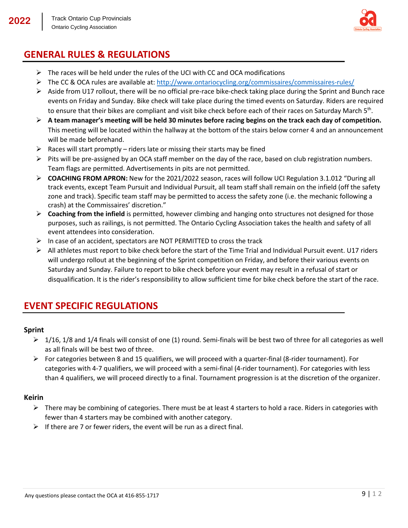

## **GENERAL RULES & REGULATIONS**

- $\triangleright$  The races will be held under the rules of the UCI with CC and OCA modifications
- $\triangleright$  The CC & OCA rules are available at:<http://www.ontariocycling.org/commissaires/commissaires-rules/>
- $\triangleright$  Aside from U17 rollout, there will be no official pre-race bike-check taking place during the Sprint and Bunch race events on Friday and Sunday. Bike check will take place during the timed events on Saturday. Riders are required to ensure that their bikes are compliant and visit bike check before each of their races on Saturday March  $5<sup>th</sup>$ .
- **A team manager's meeting will be held 30 minutes before racing begins on the track each day of competition.**  This meeting will be located within the hallway at the bottom of the stairs below corner 4 and an announcement will be made beforehand.
- $\triangleright$  Races will start promptly riders late or missing their starts may be fined
- $\triangleright$  Pits will be pre-assigned by an OCA staff member on the day of the race, based on club registration numbers. Team flags are permitted. Advertisements in pits are not permitted.
- **COACHING FROM APRON:** New for the 2021/2022 season, races will follow UCI Regulation 3.1.012 "During all track events, except Team Pursuit and Individual Pursuit, all team staff shall remain on the infield (off the safety zone and track). Specific team staff may be permitted to access the safety zone (i.e. the mechanic following a crash) at the Commissaires' discretion."
- **Coaching from the infield** is permitted, however climbing and hanging onto structures not designed for those purposes, such as railings, is not permitted. The Ontario Cycling Association takes the health and safety of all event attendees into consideration.
- $\triangleright$  In case of an accident, spectators are NOT PERMITTED to cross the track
- $\triangleright$  All athletes must report to bike check before the start of the Time Trial and Individual Pursuit event. U17 riders will undergo rollout at the beginning of the Sprint competition on Friday, and before their various events on Saturday and Sunday. Failure to report to bike check before your event may result in a refusal of start or disqualification. It is the rider's responsibility to allow sufficient time for bike check before the start of the race.

#### **EVENT SPECIFIC REGULATIONS**

#### **Sprint**

- $\geq 1/16$ , 1/8 and 1/4 finals will consist of one (1) round. Semi-finals will be best two of three for all categories as well as all finals will be best two of three.
- For categories between 8 and 15 qualifiers, we will proceed with a quarter-final (8-rider tournament). For categories with 4-7 qualifiers, we will proceed with a semi-final (4-rider tournament). For categories with less than 4 qualifiers, we will proceed directly to a final. Tournament progression is at the discretion of the organizer.

#### **Keirin**

- $\triangleright$  There may be combining of categories. There must be at least 4 starters to hold a race. Riders in categories with fewer than 4 starters may be combined with another category.
- $\triangleright$  If there are 7 or fewer riders, the event will be run as a direct final.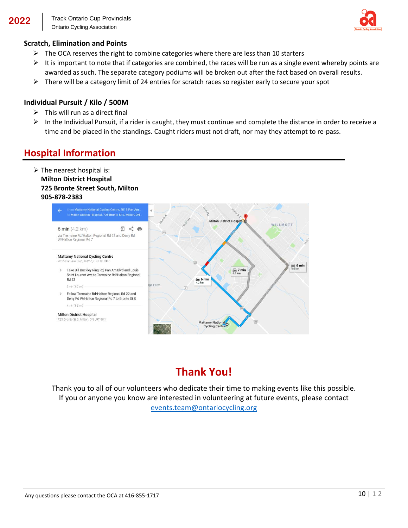

#### **Scratch, Elimination and Points**

- $\triangleright$  The OCA reserves the right to combine categories where there are less than 10 starters
- $\triangleright$  It is important to note that if categories are combined, the races will be run as a single event whereby points are awarded as such. The separate category podiums will be broken out after the fact based on overall results.
- $\triangleright$  There will be a category limit of 24 entries for scratch races so register early to secure your spot

#### **Individual Pursuit / Kilo / 500M**

- $\triangleright$  This will run as a direct final
- $\triangleright$  In the Individual Pursuit, if a rider is caught, they must continue and complete the distance in order to receive a time and be placed in the standings. Caught riders must not draft, nor may they attempt to re-pass.

## **Hospital Information**

 $\triangleright$  The nearest hospital is: **Milton District Hospital 725 Bronte Street South, Milton 905-878-2383**



## **Thank You!**

Thank you to all of our volunteers who dedicate their time to making events like this possible. If you or anyone you know are interested in volunteering at future events, please contact [events.team@ontariocycling.org](mailto:events.team@ontariocycling.org)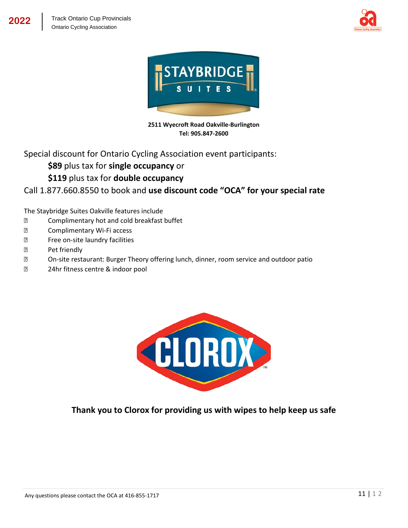



**2511 Wyecroft Road Oakville-Burlington Tel: 905.847-2600**

Special discount for Ontario Cycling Association event participants:

**\$89** plus tax for **single occupancy** or

#### **\$119** plus tax for **double occupancy**

Call 1.877.660.8550 to book and **use discount code "OCA" for your special rate**

The Staybridge Suites Oakville features include

- ⦁ Complimentary hot and cold breakfast buffet
- ⦁ Complimentary Wi-Fi access
- ⦁ Free on-site laundry facilities
- **图 Pet friendly**
- ⦁ On-site restaurant: Burger Theory offering lunch, dinner, room service and outdoor patio
- ⦁ 24hr fitness centre & indoor pool



**Thank you to Clorox for providing us with wipes to help keep us safe**